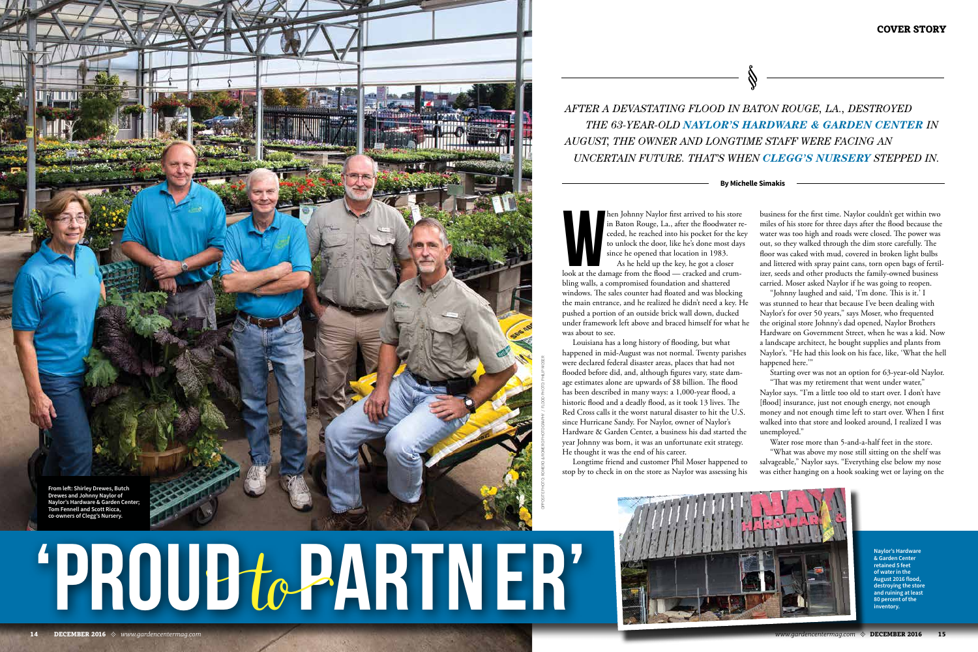hen Johnny Naylor first arrived to his store<br>in Baton Rouge, La., after the floodwater r<br>ceded, he reached into his pocket for the k<br>to unlock the door, like he's done most day<br>since he opened that location in 1983.<br>As he hen Johnny Naylor first arrived to his store in Baton Rouge, La., after the floodwater receded, he reached into his pocket for the key to unlock the door, like he's done most days since he opened that location in 1983.

As he held up the key, he got a closer bling walls, a compromised foundation and shattered windows. The sales counter had floated and was blocking the main entrance, and he realized he didn't need a key. He pushed a portion of an outside brick wall down, ducked under framework left above and braced himself for what he was about to see.

business for the first time. Naylor couldn't get within two miles of his store for three days after the flood because the water was too high and roads were closed. The power was out, so they walked through the dim store carefully. The floor was caked with mud, covered in broken light bulbs and littered with spray paint cans, torn open bags of fertilizer, seeds and other products the family-owned business carried. Moser asked Naylor if he was going to reopen. "Johnny laughed and said, 'I'm done. This is it.' I was stunned to hear that because I've been dealing with Naylor's for over 50 years," says Moser, who frequented the original store Johnny's dad opened, Naylor Brothers Hardware on Government Street, when he was a kid. Now a landscape architect, he bought supplies and plants from Naylor's. "He had this look on his face, like, 'What the hell happened here."



Louisiana has a long history of flooding, but what happened in mid-August was not normal. Twenty parishes were declared federal disaster areas, places that had not flooded before did, and, although figures vary, state damage estimates alone are upwards of \$8 billion. The flood has been described in many ways: a 1,000-year flood, a historic flood and a deadly flood, as it took 13 lives. The Red Cross calls it the worst natural disaster to hit the U.S. since Hurricane Sandy. For Naylor, owner of Naylor's Hardware & Garden Center, a business his dad started the year Johnny was born, it was an unfortunate exit strategy. He thought it was the end of his career.

Longtime friend and customer Phil Moser happened to stop by to check in on the store as Naylor was assessing his

PHOTO CREDIT GOES HEREY HERYE RHE **'PROUD**to**PARTNER'**

Starting over was not an option for 63-year-old Naylor. "That was my retirement that went under water," Naylor says. "I'm a little too old to start over. I don't have [flood] insurance, just not enough energy, not enough money and not enough time left to start over. When I first walked into that store and looked around, I realized I was unemployed."

Water rose more than 5-and-a-half feet in the store. "What was above my nose still sitting on the shelf was salvageable," Naylor says. "Everything else below my nose was either hanging on a hook soaking wet or laying on the

# *AFTER A DEVASTATING FLOOD IN BATON ROUGE, LA., DESTROYED THE 63-YEAR-OLD NAYLOR'S HARDWARE & GARDEN CENTER IN AUGUST, THE OWNER AND LONGTIME STAFF WERE FACING AN UNCERTAIN FUTURE. THAT'S WHEN CLEGG'S NURSERY STEPPED IN.*

### **By Michelle Simakis**

**Naylor's Hardware & Garden Center retained 5 feet of water in the August 2016 flood, destroying the store and ruining at least 80 percent of the inventory.** 

OPPOSITE PHOTO: ROMERO & ROMERO PHOTOGRAPHY / FLOOD PHOTO: PHILIP MOSER

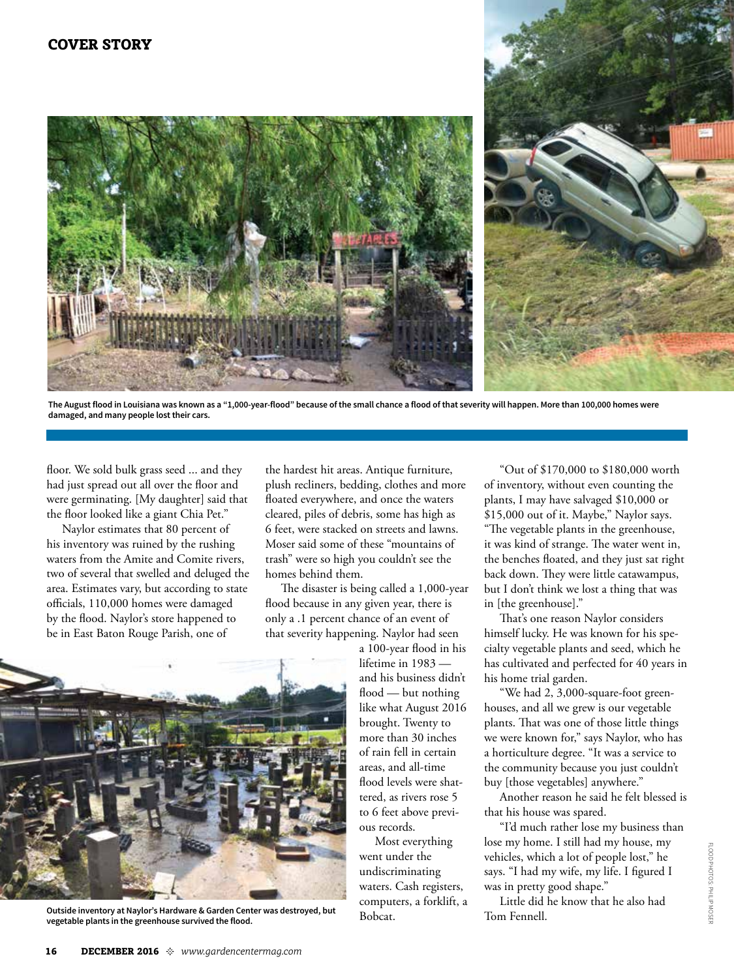



**The August flood in Louisiana was known as a "1,000-year-flood" because of the small chance a flood of that severity will happen. More than 100,000 homes were damaged, and many people lost their cars.** 

floor. We sold bulk grass seed ... and they had just spread out all over the floor and were germinating. [My daughter] said that the floor looked like a giant Chia Pet."

Naylor estimates that 80 percent of his inventory was ruined by the rushing waters from the Amite and Comite rivers, two of several that swelled and deluged the area. Estimates vary, but according to state officials, 110,000 homes were damaged by the flood. Naylor's store happened to be in East Baton Rouge Parish, one of

the hardest hit areas. Antique furniture, plush recliners, bedding, clothes and more floated everywhere, and once the waters cleared, piles of debris, some has high as 6 feet, were stacked on streets and lawns. Moser said some of these "mountains of trash" were so high you couldn't see the homes behind them.

The disaster is being called a 1,000-year flood because in any given year, there is only a .1 percent chance of an event of that severity happening. Naylor had seen

a 100-year flood in his lifetime in 1983 and his business didn't flood — but nothing like what August 2016 brought. Twenty to more than 30 inches of rain fell in certain areas, and all-time flood levels were shattered, as rivers rose 5 to 6 feet above previous records.

Most everything went under the undiscriminating waters. Cash registers, computers, a forklift, a Bobcat.

"Out of \$170,000 to \$180,000 worth of inventory, without even counting the plants, I may have salvaged \$10,000 or \$15,000 out of it. Maybe," Naylor says. "The vegetable plants in the greenhouse, it was kind of strange. The water went in, the benches floated, and they just sat right back down. They were little catawampus, but I don't think we lost a thing that was in [the greenhouse]."

That's one reason Naylor considers himself lucky. He was known for his specialty vegetable plants and seed, which he has cultivated and perfected for 40 years in his home trial garden.

"We had 2, 3,000-square-foot greenhouses, and all we grew is our vegetable plants. That was one of those little things we were known for," says Naylor, who has a horticulture degree. "It was a service to the community because you just couldn't buy [those vegetables] anywhere."

Another reason he said he felt blessed is that his house was spared.

"I'd much rather lose my business than lose my home. I still had my house, my vehicles, which a lot of people lost," he says. "I had my wife, my life. I figured I was in pretty good shape."

Little did he know that he also had Tom Fennell.



**Outside inventory at Naylor's Hardware & Garden Center was destroyed, but vegetable plants in the greenhouse survived the flood.**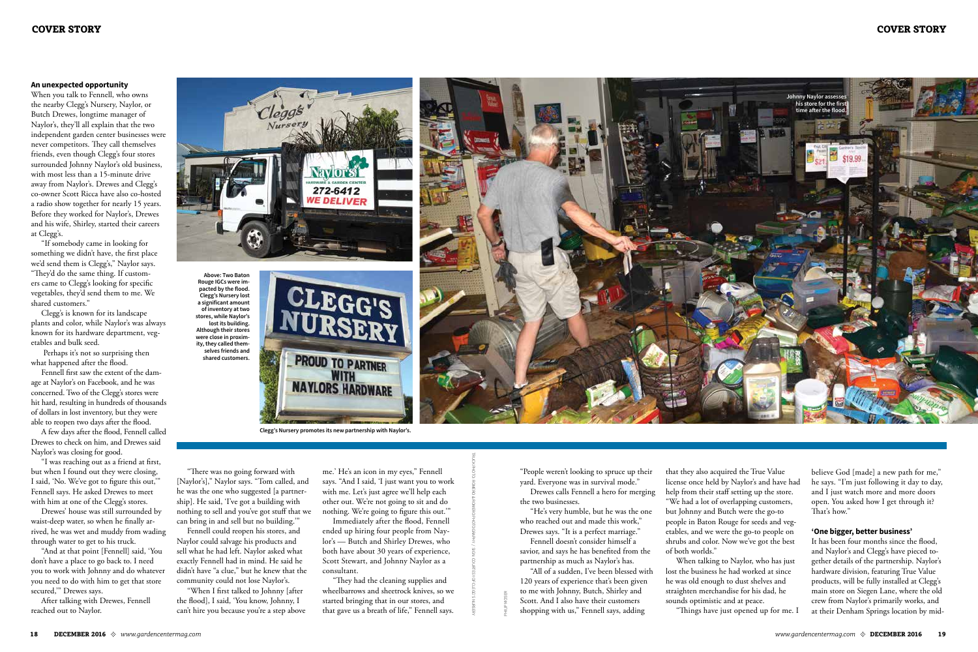### **An unexpected opportunity**

When you talk to Fennell, who owns the nearby Clegg's Nursery, Naylor, or Butch Drewes, longtime manager of Naylor's, they'll all explain that the two independent garden center businesses were never competitors. They call themselves friends, even though Clegg's four stores surrounded Johnny Naylor's old business, with most less than a 15-minute drive away from Naylor's. Drewes and Clegg's co-owner Scott Ricca have also co-hosted a radio show together for nearly 15 years. Before they worked for Naylor's, Drewes and his wife, Shirley, started their careers at Clegg's.

"If somebody came in looking for something we didn't have, the first place we'd send them is Clegg's," Naylor says. "They'd do the same thing. If customers came to Clegg's looking for specific vegetables, they'd send them to me. We shared customers."

Clegg's is known for its landscape plants and color, while Naylor's was always known for its hardware department, vegetables and bulk seed.

 Perhaps it's not so surprising then what happened after the flood.

Fennell first saw the extent of the damage at Naylor's on Facebook, and he was concerned. Two of the Clegg's stores were hit hard, resulting in hundreds of thousands of dollars in lost inventory, but they were able to reopen two days after the flood.

18 DECEMBER 2016 \* www.gardencentermag.com<br>
18 DECEMBER 2016 \* www.gardencentermag.com<br>
18 DECEMBER 2016 \* www.gardencentermag.com<br>
18 DECEMBER 2016 \* www.gardencentermag.com com DECEMBER 2016 19 "All of a sudden, I've been blessed with 120 years of experience that's been given to me with Johnny, Butch, Shirley and Scott. And I also have their customers shopping with us," Fennell says, adding

A few days after the flood, Fennell called Drewes to check on him, and Drewes said Naylor's was closing for good.

"I was reaching out as a friend at first, but when I found out they were closing, I said, 'No. We've got to figure this out,'" Fennell says. He asked Drewes to meet with him at one of the Clegg's stores.

Drewes' house was still surrounded by waist-deep water, so when he finally arrived, he was wet and muddy from wading through water to get to his truck.

"And at that point [Fennell] said, 'You don't have a place to go back to. I need you to work with Johnny and do whatever you need to do with him to get that store secured,'" Drewes says.

After talking with Drewes, Fennell reached out to Naylor.

"People weren't looking to spruce up their yard. Everyone was in survival mode."

Drewes calls Fennell a hero for merging the two businesses.

"He's very humble, but he was the one who reached out and made this work," Drewes says. "It is a perfect marriage."

Fennell doesn't consider himself a savior, and says he has benefited from the partnership as much as Naylor's has.

that they also acquired the True Value license once held by Naylor's and have had help from their staff setting up the store. "We had a lot of overlapping customers, but Johnny and Butch were the go-to people in Baton Rouge for seeds and vegetables, and we were the go-to people on shrubs and color. Now we've got the best of both worlds."

When talking to Naylor, who has just lost the business he had worked at since he was old enough to dust shelves and straighten merchandise for his dad, he sounds optimistic and at peace.

"Things have just opened up for me. I

believe God [made] a new path for me," he says. "I'm just following it day to day, and I just watch more and more doors open. You asked how I get through it? That's how."

## **'One bigger, better business'**

It has been four months since the flood, and Naylor's and Clegg's have pieced together details of the partnership. Naylor's hardware division, featuring True Value products, will be fully installed at Clegg's main store on Siegen Lane, where the old crew from Naylor's primarily works, and at their Denham Springs location by mid-

"There was no going forward with [Naylor's]," Naylor says. "Tom called, and he was the one who suggested [a partnership]. He said, 'I've got a building with nothing to sell and you've got stuff that we can bring in and sell but no building.'"

Fennell could reopen his stores, and Naylor could salvage his products and sell what he had left. Naylor asked what exactly Fennell had in mind. He said he didn't have "a clue," but he knew that the community could not lose Naylor's.

"When I first talked to Johnny [after the flood], I said, 'You know, Johnny, I can't hire you because you're a step above

me.' He's an icon in my eyes," Fennell says. "And I said, 'I just want you to work with me. Let's just agree we'll help each other out. We're not going to sit and do nothing. We're going to figure this out.'"

Immediately after the flood, Fennell ended up hiring four people from Naylor's — Butch and Shirley Drewes, who both have about 30 years of experience, Scott Stewart, and Johnny Naylor as a consultant.

"They had the cleaning supplies and wheelbarrows and sheetrock knives, so we started bringing that in our stores, and that gave us a breath of life," Fennell says.

TRUCK PHOTO: ROMERO & ROMERO PHOTOGRAPHY / SIGN: COURTESY OF CLEGG'S NURSERY





**Clegg's Nursery promotes its new partnership with Naylor's.**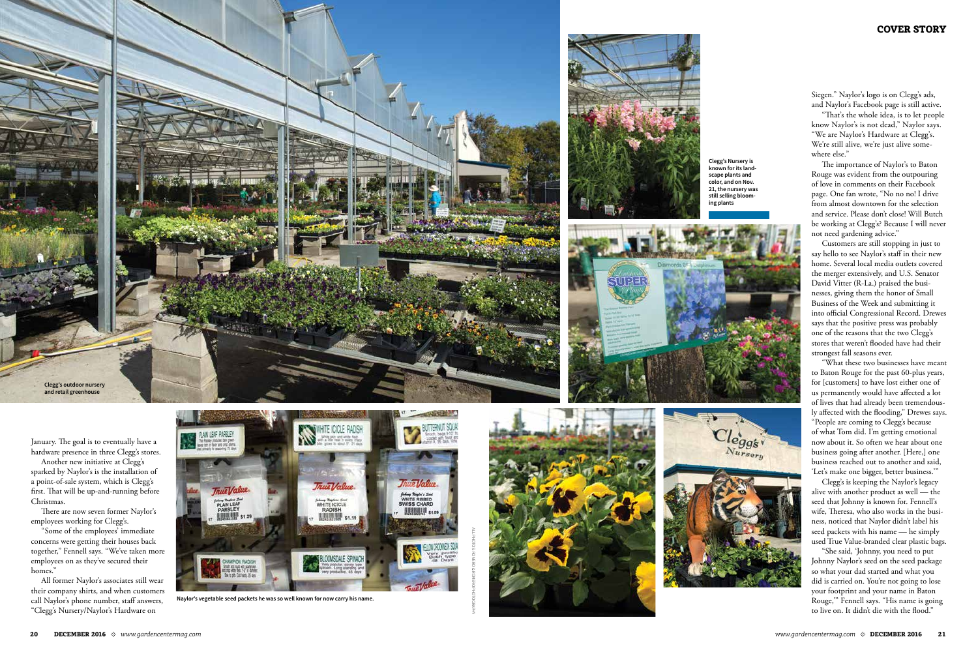

January. The goal is to eventually have a hardware presence in three Clegg's stores.

Another new initiative at Clegg's sparked by Naylor's is the installation of a point-of-sale system, which is Clegg's first. That will be up-and-running before Christmas.

There are now seven former Naylor's employees working for Clegg's.

"Some of the employees' immediate concerns were getting their houses back together," Fennell says. "We've taken more employees on as they've secured their homes."

All former Naylor's associates still wear their company shirts, and when customers call Naylor's phone number, staff answers, "Clegg's Nursery/Naylor's Hardware on

Siegen." Naylor's logo is on Clegg's ads, and Naylor's Facebook page is still active.

"That's the whole idea, is to let people know Naylor's is not dead," Naylor says. "We are Naylor's Hardware at Clegg's. We're still alive, we're just alive some where else."

The importance of Naylor's to Baton Rouge was evident from the outpouring of love in comments on their Facebook page. One fan wrote, "No no no! I drive from almost downtown for the selection and service. Please don't close! Will Butch be working at Clegg's? Because I will never not need gardening advice."



Customers are still stopping in just to say hello to see Naylor's staff in their new home. Several local media outlets covered the merger extensively, and U.S. Senator David Vitter (R-La.) praised the busi nesses, giving them the honor of Small Business of the Week and submitting it into official Congressional Record. Drewes says that the positive press was probably one of the reasons that the two Clegg's stores that weren't flooded have had their strongest fall seasons ever.

"What these two businesses have meant to Baton Rouge for the past 60-plus years, for [customers] to have lost either one of us permanently would have affected a lot of lives that had already been tremendous ly affected with the flooding," Drewes says.

"People are coming to Clegg's because of what Tom did. I'm getting emotional now about it. So often we hear about one business going after another. [Here,] one business reached out to another and said, 'Let's make one bigger, better business.'"

Clegg's is keeping the Naylor's legacy alive with another product as well — the seed that Johnny is known for. Fennell's wife, Theresa, who also works in the busi ness, noticed that Naylor didn't label his seed packets with his name — he simply used True Value-branded clear plastic bags.

"She said, 'Johnny, you need to put Johnny Naylor's seed on the seed package so what your dad started and what you did is carried on. You're not going to lose your footprint and your name in Baton Rouge,'" Fennell says. "His name is going to live on. It didn't die with the flood."







**Naylor's vegetable seed packets he was so well known for now carry his name.** 

ALL PHOTOS: ROMERO & ROMERO PHOTOGRAPHY





**and retail greenhouse** 

**Clegg's Nursery is known for its land scape plants and color, and on Nov. 21, the nursery was still selling bloom ing plants**